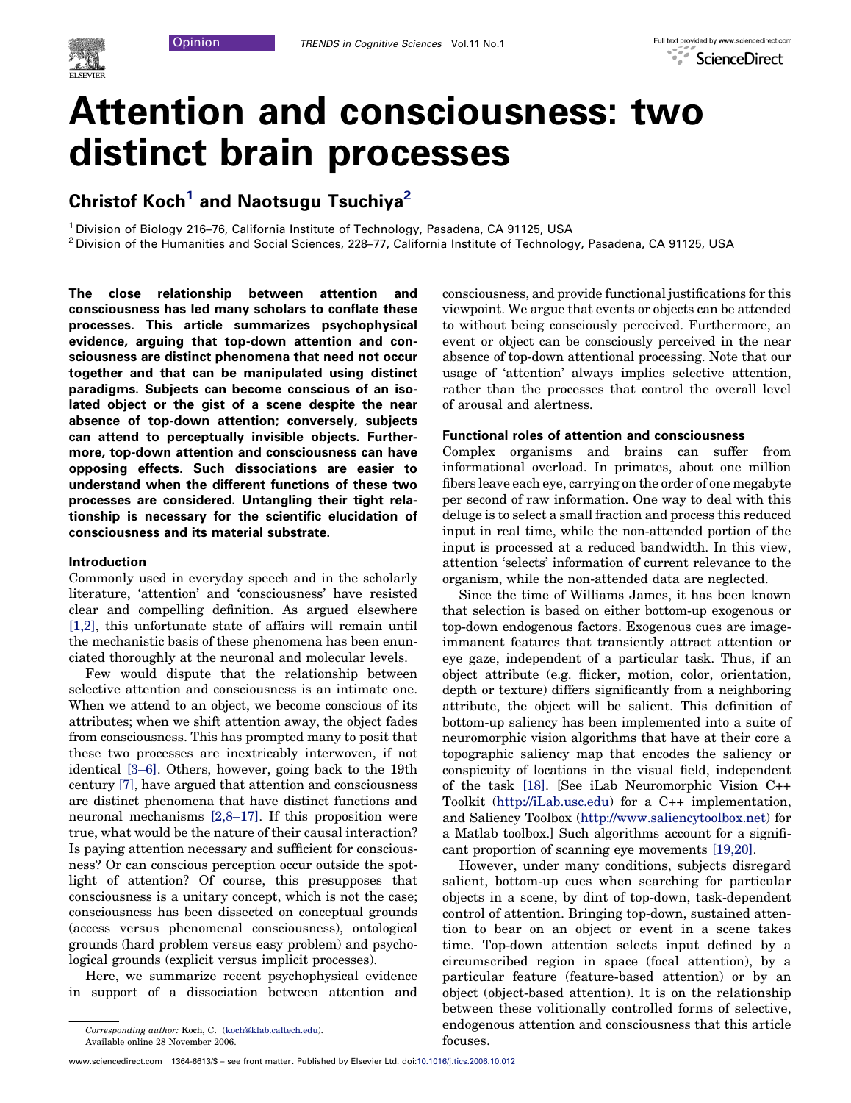

# Attention and consciousness: two distinct brain processes

## Christof Koch<sup>1</sup> and Naotsugu Tsuchiya<sup>2</sup>

<sup>1</sup> Division of Biology 216–76, California Institute of Technology, Pasadena, CA 91125, USA<br><sup>2</sup> Division of the Humanities and Social Sciences, 228–77, California Institute of Technology, Pasadena, CA 91125, USA

The close relationship between attention and consciousness has led many scholars to conflate these processes. This article summarizes psychophysical evidence, arguing that top-down attention and consciousness are distinct phenomena that need not occur together and that can be manipulated using distinct paradigms. Subjects can become conscious of an isolated object or the gist of a scene despite the near absence of top-down attention; conversely, subjects can attend to perceptually invisible objects. Furthermore, top-down attention and consciousness can have opposing effects. Such dissociations are easier to understand when the different functions of these two processes are considered. Untangling their tight relationship is necessary for the scientific elucidation of consciousness and its material substrate.

#### Introduction

Commonly used in everyday speech and in the scholarly literature, 'attention' and 'consciousness' have resisted clear and compelling definition. As argued elsewhere [\[1,2\],](#page-5-0) this unfortunate state of affairs will remain until the mechanistic basis of these phenomena has been enunciated thoroughly at the neuronal and molecular levels.

Few would dispute that the relationship between selective attention and consciousness is an intimate one. When we attend to an object, we become conscious of its attributes; when we shift attention away, the object fades from consciousness. This has prompted many to posit that these two processes are inextricably interwoven, if not identical [\[3–6\]](#page-5-0). Others, however, going back to the 19th century [\[7\],](#page-5-0) have argued that attention and consciousness are distinct phenomena that have distinct functions and neuronal mechanisms [\[2,8–17\]](#page-5-0). If this proposition were true, what would be the nature of their causal interaction? Is paying attention necessary and sufficient for consciousness? Or can conscious perception occur outside the spotlight of attention? Of course, this presupposes that consciousness is a unitary concept, which is not the case; consciousness has been dissected on conceptual grounds (access versus phenomenal consciousness), ontological grounds (hard problem versus easy problem) and psychological grounds (explicit versus implicit processes).

Here, we summarize recent psychophysical evidence in support of a dissociation between attention and consciousness, and provide functional justifications for this viewpoint. We argue that events or objects can be attended to without being consciously perceived. Furthermore, an event or object can be consciously perceived in the near absence of top-down attentional processing. Note that our usage of 'attention' always implies selective attention, rather than the processes that control the overall level of arousal and alertness.

#### Functional roles of attention and consciousness

Complex organisms and brains can suffer from informational overload. In primates, about one million fibers leave each eye, carrying on the order of one megabyte per second of raw information. One way to deal with this deluge is to select a small fraction and process this reduced input in real time, while the non-attended portion of the input is processed at a reduced bandwidth. In this view, attention 'selects' information of current relevance to the organism, while the non-attended data are neglected.

Since the time of Williams James, it has been known that selection is based on either bottom-up exogenous or top-down endogenous factors. Exogenous cues are imageimmanent features that transiently attract attention or eye gaze, independent of a particular task. Thus, if an object attribute (e.g. flicker, motion, color, orientation, depth or texture) differs significantly from a neighboring attribute, the object will be salient. This definition of bottom-up saliency has been implemented into a suite of neuromorphic vision algorithms that have at their core a topographic saliency map that encodes the saliency or conspicuity of locations in the visual field, independent of the task [\[18\].](#page-5-0) [See iLab Neuromorphic Vision C++ Toolkit ([http://iLab.usc.edu\)](http://ilab.usc.edu/) for a C++ implementation, and Saliency Toolbox [\(http://www.saliencytoolbox.net](http://www.saliencytoolbox.net/)) for a Matlab toolbox.] Such algorithms account for a significant proportion of scanning eye movements [\[19,20\]](#page-5-0).

However, under many conditions, subjects disregard salient, bottom-up cues when searching for particular objects in a scene, by dint of top-down, task-dependent control of attention. Bringing top-down, sustained attention to bear on an object or event in a scene takes time. Top-down attention selects input defined by a circumscribed region in space (focal attention), by a particular feature (feature-based attention) or by an object (object-based attention). It is on the relationship between these volitionally controlled forms of selective, endogenous attention and consciousness that this article focuses.

Corresponding author: Koch, C. [\(koch@klab.caltech.edu\)](mailto:koch@klab.caltech.edu). Available online 28 November 2006.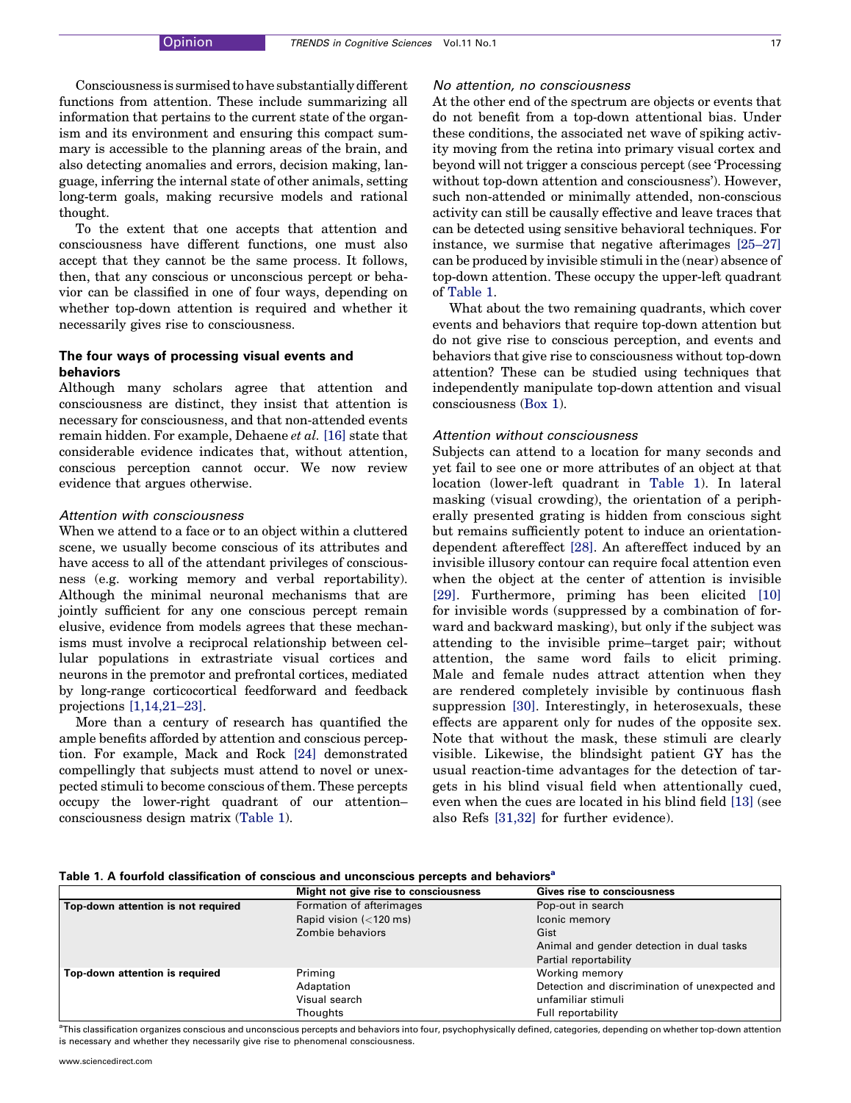<span id="page-1-0"></span>Consciousness is surmised to have substantially different functions from attention. These include summarizing all information that pertains to the current state of the organism and its environment and ensuring this compact summary is accessible to the planning areas of the brain, and also detecting anomalies and errors, decision making, language, inferring the internal state of other animals, setting long-term goals, making recursive models and rational thought.

To the extent that one accepts that attention and consciousness have different functions, one must also accept that they cannot be the same process. It follows, then, that any conscious or unconscious percept or behavior can be classified in one of four ways, depending on whether top-down attention is required and whether it necessarily gives rise to consciousness.

#### The four ways of processing visual events and behaviors

Although many scholars agree that attention and consciousness are distinct, they insist that attention is necessary for consciousness, and that non-attended events remain hidden. For example, Dehaene et al. [\[16\]](#page-5-0) state that considerable evidence indicates that, without attention, conscious perception cannot occur. We now review evidence that argues otherwise.

#### Attention with consciousness

When we attend to a face or to an object within a cluttered scene, we usually become conscious of its attributes and have access to all of the attendant privileges of consciousness (e.g. working memory and verbal reportability). Although the minimal neuronal mechanisms that are jointly sufficient for any one conscious percept remain elusive, evidence from models agrees that these mechanisms must involve a reciprocal relationship between cellular populations in extrastriate visual cortices and neurons in the premotor and prefrontal cortices, mediated by long-range corticocortical feedforward and feedback projections [\[1,14,21–23\].](#page-5-0)

More than a century of research has quantified the ample benefits afforded by attention and conscious perception. For example, Mack and Rock [\[24\]](#page-5-0) demonstrated compellingly that subjects must attend to novel or unexpected stimuli to become conscious of them. These percepts occupy the lower-right quadrant of our attention– consciousness design matrix (Table 1).

#### No attention, no consciousness

At the other end of the spectrum are objects or events that do not benefit from a top-down attentional bias. Under these conditions, the associated net wave of spiking activity moving from the retina into primary visual cortex and beyond will not trigger a conscious percept (see 'Processing without top-down attention and consciousness'). However, such non-attended or minimally attended, non-conscious activity can still be causally effective and leave traces that can be detected using sensitive behavioral techniques. For instance, we surmise that negative afterimages [\[25–27\]](#page-5-0) can be produced by invisible stimuli in the (near) absence of top-down attention. These occupy the upper-left quadrant of Table 1.

What about the two remaining quadrants, which cover events and behaviors that require top-down attention but do not give rise to conscious perception, and events and behaviors that give rise to consciousness without top-down attention? These can be studied using techniques that independently manipulate top-down attention and visual consciousness ([Box](#page-2-0) 1).

#### Attention without consciousness

Subjects can attend to a location for many seconds and yet fail to see one or more attributes of an object at that location (lower-left quadrant in Table 1). In lateral masking (visual crowding), the orientation of a peripherally presented grating is hidden from conscious sight but remains sufficiently potent to induce an orientationdependent aftereffect [\[28\]](#page-5-0). An aftereffect induced by an invisible illusory contour can require focal attention even when the object at the center of attention is invisible [\[29\]](#page-5-0). Furthermore, priming has been elicited [\[10\]](#page-5-0) for invisible words (suppressed by a combination of forward and backward masking), but only if the subject was attending to the invisible prime–target pair; without attention, the same word fails to elicit priming. Male and female nudes attract attention when they are rendered completely invisible by continuous flash suppression [\[30\].](#page-5-0) Interestingly, in heterosexuals, these effects are apparent only for nudes of the opposite sex. Note that without the mask, these stimuli are clearly visible. Likewise, the blindsight patient GY has the usual reaction-time advantages for the detection of targets in his blind visual field when attentionally cued, even when the cues are located in his blind field [\[13\]](#page-5-0) (see also Refs [\[31,32\]](#page-5-0) for further evidence).

| Table 1. A fourfold classification of conscious and unconscious percepts and behaviors <sup>a</sup> |  |  |  |  |  |  |  |
|-----------------------------------------------------------------------------------------------------|--|--|--|--|--|--|--|
|-----------------------------------------------------------------------------------------------------|--|--|--|--|--|--|--|

|                                    | Might not give rise to consciousness           | <b>Gives rise to consciousness</b>             |
|------------------------------------|------------------------------------------------|------------------------------------------------|
| Top-down attention is not required | Formation of afterimages                       | Pop-out in search                              |
|                                    | Rapid vision $\left( < 120 \text{ ms} \right)$ | Iconic memory                                  |
|                                    | Zombie behaviors                               | Gist                                           |
|                                    |                                                | Animal and gender detection in dual tasks      |
|                                    |                                                | Partial reportability                          |
| Top-down attention is required     | Priming                                        | Working memory                                 |
|                                    | Adaptation                                     | Detection and discrimination of unexpected and |
|                                    | Visual search                                  | unfamiliar stimuli                             |
|                                    | Thoughts                                       | Full reportability                             |

<sup>a</sup>This classification organizes conscious and unconscious percepts and behaviors into four, psychophysically defined, categories, depending on whether top-down attention is necessary and whether they necessarily give rise to phenomenal consciousness.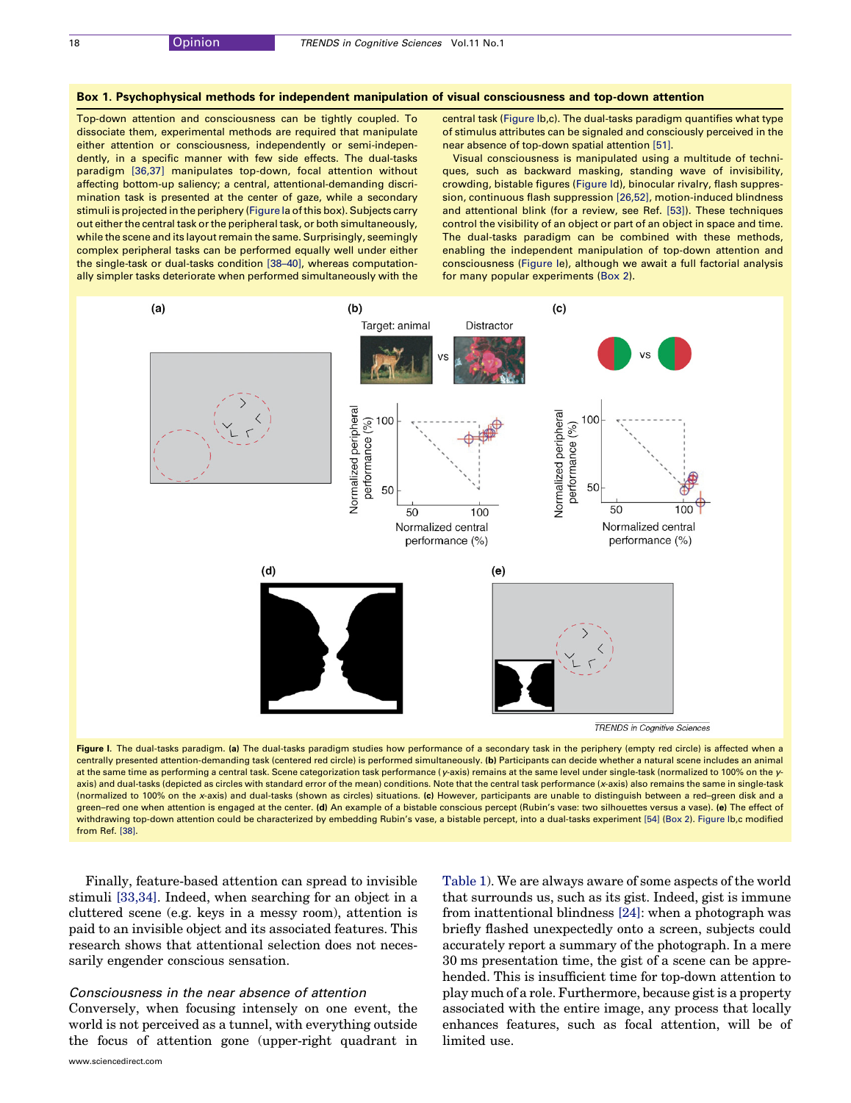#### <span id="page-2-0"></span>Box 1. Psychophysical methods for independent manipulation of visual consciousness and top-down attention

Top-down attention and consciousness can be tightly coupled. To dissociate them, experimental methods are required that manipulate either attention or consciousness, independently or semi-independently, in a specific manner with few side effects. The dual-tasks paradigm [\[36,37\]](#page-5-0) manipulates top-down, focal attention without affecting bottom-up saliency; a central, attentional-demanding discrimination task is presented at the center of gaze, while a secondary stimuli is projected in the periphery (Figure Ia of this box). Subjects carry out either the central task or the peripheral task, or both simultaneously, while the scene and its layout remain the same. Surprisingly, seemingly complex peripheral tasks can be performed equally well under either the single-task or dual-tasks condition [\[38–40\]](#page-5-0), whereas computationally simpler tasks deteriorate when performed simultaneously with the central task (Figure Ib,c). The dual-tasks paradigm quantifies what type of stimulus attributes can be signaled and consciously perceived in the near absence of top-down spatial attention [\[51\].](#page-6-0)

Visual consciousness is manipulated using a multitude of techniques, such as backward masking, standing wave of invisibility, crowding, bistable figures (Figure Id), binocular rivalry, flash suppression, continuous flash suppression [\[26,52\]](#page-5-0), motion-induced blindness and attentional blink (for a review, see Ref. [\[53\]](#page-6-0)). These techniques control the visibility of an object or part of an object in space and time. The dual-tasks paradigm can be combined with these methods, enabling the independent manipulation of top-down attention and consciousness (Figure Ie), although we await a full factorial analysis for many popular experiments ([Box](#page-4-0) 2).



Figure I. The dual-tasks paradigm. (a) The dual-tasks paradigm studies how performance of a secondary task in the periphery (empty red circle) is affected when a centrally presented attention-demanding task (centered red circle) is performed simultaneously. (b) Participants can decide whether a natural scene includes an animal at the same time as performing a central task. Scene categorization task performance (y-axis) remains at the same level under single-task (normalized to 100% on the yaxis) and dual-tasks (depicted as circles with standard error of the mean) conditions. Note that the central task performance (x-axis) also remains the same in single-task (normalized to 100% on the x-axis) and dual-tasks (shown as circles) situations. (c) However, participants are unable to distinguish between a red–green disk and a green-red one when attention is engaged at the center. (d) An example of a bistable conscious percept (Rubin's vase: two silhouettes versus a vase). (e) The effect of withdrawing top-down attention could be characterized by embedding Rubin's vase, a bistable percept, into a dual-tasks experiment [\[54\]](#page-6-0) [\(Box](#page-4-0) 2). Figure Ib,c modified from Ref. [\[38\].](#page-5-0)

Finally, feature-based attention can spread to invisible stimuli [\[33,34\]](#page-5-0). Indeed, when searching for an object in a cluttered scene (e.g. keys in a messy room), attention is paid to an invisible object and its associated features. This research shows that attentional selection does not necessarily engender conscious sensation.

#### Consciousness in the near absence of attention

Conversely, when focusing intensely on one event, the world is not perceived as a tunnel, with everything outside the focus of attention gone (upper-right quadrant in [Table](#page-1-0) 1). We are always aware of some aspects of the world that surrounds us, such as its gist. Indeed, gist is immune from inattentional blindness [\[24\]](#page-5-0): when a photograph was briefly flashed unexpectedly onto a screen, subjects could accurately report a summary of the photograph. In a mere 30 ms presentation time, the gist of a scene can be apprehended. This is insufficient time for top-down attention to play much of a role. Furthermore, because gistis a property associated with the entire image, any process that locally enhances features, such as focal attention, will be of limited use.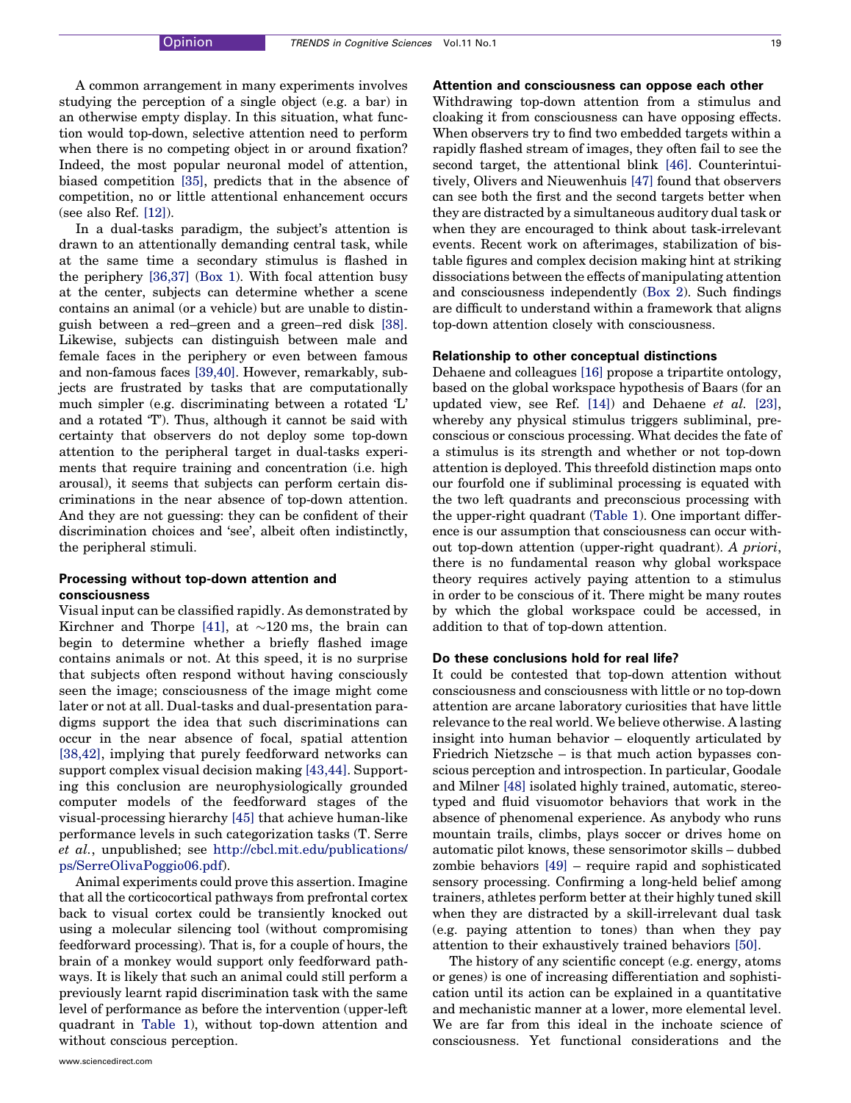A common arrangement in many experiments involves studying the perception of a single object (e.g. a bar) in an otherwise empty display. In this situation, what function would top-down, selective attention need to perform when there is no competing object in or around fixation? Indeed, the most popular neuronal model of attention, biased competition [\[35\],](#page-5-0) predicts that in the absence of competition, no or little attentional enhancement occurs (see also Ref. [\[12\]\)](#page-5-0).

In a dual-tasks paradigm, the subject's attention is drawn to an attentionally demanding central task, while at the same time a secondary stimulus is flashed in the periphery [\[36,37\]](#page-5-0) ([Box](#page-2-0) 1). With focal attention busy at the center, subjects can determine whether a scene contains an animal (or a vehicle) but are unable to distinguish between a red–green and a green–red disk [\[38\]](#page-5-0). Likewise, subjects can distinguish between male and female faces in the periphery or even between famous and non-famous faces [\[39,40\].](#page-5-0) However, remarkably, subjects are frustrated by tasks that are computationally much simpler (e.g. discriminating between a rotated 'L' and a rotated 'T'). Thus, although it cannot be said with certainty that observers do not deploy some top-down attention to the peripheral target in dual-tasks experiments that require training and concentration (i.e. high arousal), it seems that subjects can perform certain discriminations in the near absence of top-down attention. And they are not guessing: they can be confident of their discrimination choices and 'see', albeit often indistinctly, the peripheral stimuli.

#### Processing without top-down attention and consciousness

Visual input can be classified rapidly. As demonstrated by Kirchner and Thorpe [\[41\]](#page-5-0), at  $\sim$ 120 ms, the brain can begin to determine whether a briefly flashed image contains animals or not. At this speed, it is no surprise that subjects often respond without having consciously seen the image; consciousness of the image might come later or not at all. Dual-tasks and dual-presentation paradigms support the idea that such discriminations can occur in the near absence of focal, spatial attention [\[38,42\],](#page-5-0) implying that purely feedforward networks can support complex visual decision making [\[43,44\].](#page-5-0) Supporting this conclusion are neurophysiologically grounded computer models of the feedforward stages of the visual-processing hierarchy [\[45\]](#page-6-0) that achieve human-like performance levels in such categorization tasks (T. Serre et al., unpublished; see [http://cbcl.mit.edu/publications/](http://cbcl.mit.edu/publications/ps/SerreOlivaPoggio06.pdf) [ps/SerreOlivaPoggio06.pdf](http://cbcl.mit.edu/publications/ps/SerreOlivaPoggio06.pdf)).

Animal experiments could prove this assertion. Imagine that all the corticocortical pathways from prefrontal cortex back to visual cortex could be transiently knocked out using a molecular silencing tool (without compromising feedforward processing). That is, for a couple of hours, the brain of a monkey would support only feedforward pathways. It is likely that such an animal could still perform a previously learnt rapid discrimination task with the same level of performance as before the intervention (upper-left quadrant in [Table](#page-1-0) 1), without top-down attention and without conscious perception.

Withdrawing top-down attention from a stimulus and cloaking it from consciousness can have opposing effects. When observers try to find two embedded targets within a rapidly flashed stream of images, they often fail to see the second target, the attentional blink [\[46\].](#page-6-0) Counterintuitively, Olivers and Nieuwenhuis [\[47\]](#page-6-0) found that observers can see both the first and the second targets better when they are distracted by a simultaneous auditory dual task or when they are encouraged to think about task-irrelevant events. Recent work on afterimages, stabilization of bistable figures and complex decision making hint at striking dissociations between the effects of manipulating attention and consciousness independently ([Box](#page-4-0) 2). Such findings are difficult to understand within a framework that aligns top-down attention closely with consciousness.

#### Relationship to other conceptual distinctions

Dehaene and colleagues [\[16\]](#page-5-0) propose a tripartite ontology, based on the global workspace hypothesis of Baars (for an updated view, see Ref. [\[14\]\)](#page-5-0) and Dehaene et al. [\[23\]](#page-5-0), whereby any physical stimulus triggers subliminal, preconscious or conscious processing. What decides the fate of a stimulus is its strength and whether or not top-down attention is deployed. This threefold distinction maps onto our fourfold one if subliminal processing is equated with the two left quadrants and preconscious processing with the upper-right quadrant ([Table](#page-1-0) 1). One important difference is our assumption that consciousness can occur without top-down attention (upper-right quadrant). A priori, there is no fundamental reason why global workspace theory requires actively paying attention to a stimulus in order to be conscious of it. There might be many routes by which the global workspace could be accessed, in addition to that of top-down attention.

#### Do these conclusions hold for real life?

It could be contested that top-down attention without consciousness and consciousness with little or no top-down attention are arcane laboratory curiosities that have little relevance to the real world. We believe otherwise. A lasting insight into human behavior – eloquently articulated by Friedrich Nietzsche – is that much action bypasses conscious perception and introspection. In particular, Goodale and Milner [\[48\]](#page-6-0) isolated highly trained, automatic, stereotyped and fluid visuomotor behaviors that work in the absence of phenomenal experience. As anybody who runs mountain trails, climbs, plays soccer or drives home on automatic pilot knows, these sensorimotor skills – dubbed zombie behaviors [\[49\]](#page-6-0) – require rapid and sophisticated sensory processing. Confirming a long-held belief among trainers, athletes perform better at their highly tuned skill when they are distracted by a skill-irrelevant dual task (e.g. paying attention to tones) than when they pay attention to their exhaustively trained behaviors [\[50\].](#page-6-0)

The history of any scientific concept (e.g. energy, atoms or genes) is one of increasing differentiation and sophistication until its action can be explained in a quantitative and mechanistic manner at a lower, more elemental level. We are far from this ideal in the inchoate science of consciousness. Yet functional considerations and the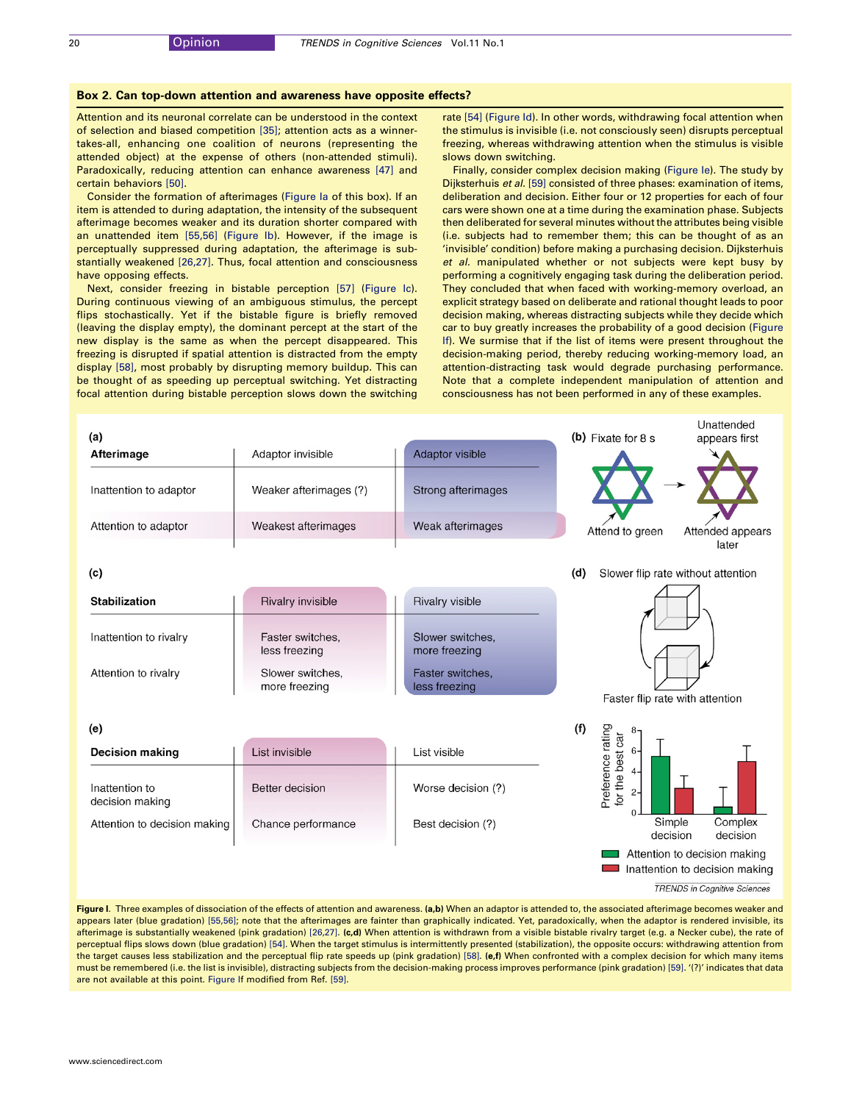#### <span id="page-4-0"></span>Box 2. Can top-down attention and awareness have opposite effects?

Attention and its neuronal correlate can be understood in the context of selection and biased competition [\[35\]](#page-5-0); attention acts as a winnertakes-all, enhancing one coalition of neurons (representing the attended object) at the expense of others (non-attended stimuli). Paradoxically, reducing attention can enhance awareness [\[47\]](#page-6-0) and certain behaviors [\[50\]](#page-6-0).

Consider the formation of afterimages (Figure Ia of this box). If an item is attended to during adaptation, the intensity of the subsequent afterimage becomes weaker and its duration shorter compared with an unattended item [\[55,56\]](#page-6-0) (Figure Ib). However, if the image is perceptually suppressed during adaptation, the afterimage is substantially weakened [\[26,27\].](#page-5-0) Thus, focal attention and consciousness have opposing effects.

Next, consider freezing in bistable perception [\[57\]](#page-6-0) (Figure Ic). During continuous viewing of an ambiguous stimulus, the percept flips stochastically. Yet if the bistable figure is briefly removed (leaving the display empty), the dominant percept at the start of the new display is the same as when the percept disappeared. This freezing is disrupted if spatial attention is distracted from the empty display [\[58\]](#page-6-0), most probably by disrupting memory buildup. This can be thought of as speeding up perceptual switching. Yet distracting focal attention during bistable perception slows down the switching

rate [\[54\]](#page-6-0) (Figure Id). In other words, withdrawing focal attention when the stimulus is invisible (i.e. not consciously seen) disrupts perceptual freezing, whereas withdrawing attention when the stimulus is visible slows down switching.

Finally, consider complex decision making (Figure Ie). The study by Dijksterhuis et al. [\[59\]](#page-6-0) consisted of three phases: examination of items, deliberation and decision. Either four or 12 properties for each of four cars were shown one at a time during the examination phase. Subjects then deliberated for several minutes without the attributes being visible (i.e. subjects had to remember them; this can be thought of as an 'invisible' condition) before making a purchasing decision. Dijksterhuis et al. manipulated whether or not subjects were kept busy by performing a cognitively engaging task during the deliberation period. They concluded that when faced with working-memory overload, an explicit strategy based on deliberate and rational thought leads to poor decision making, whereas distracting subjects while they decide which car to buy greatly increases the probability of a good decision (Figure If). We surmise that if the list of items were present throughout the decision-making period, thereby reducing working-memory load, an attention-distracting task would degrade purchasing performance. Note that a complete independent manipulation of attention and consciousness has not been performed in any of these examples.



Figure I. Three examples of dissociation of the effects of attention and awareness. (a,b) When an adaptor is attended to, the associated afterimage becomes weaker and appears later (blue gradation) [\[55,56\]](#page-6-0); note that the afterimages are fainter than graphically indicated. Yet, paradoxically, when the adaptor is rendered invisible, its afterimage is substantially weakened (pink gradation) [\[26,27\]](#page-5-0). (c,d) When attention is withdrawn from a visible bistable rivalry target (e.g. a Necker cube), the rate of perceptual flips slows down (blue gradation) [\[54\]](#page-6-0). When the target stimulus is intermittently presented (stabilization), the opposite occurs: withdrawing attention from the target causes less stabilization and the perceptual flip rate speeds up (pink gradation) [\[58\]](#page-6-0). (e,f) When confronted with a complex decision for which many items must be remembered (i.e. the list is invisible), distracting subjects from the decision-making process improves performance (pink gradation) [\[59\]](#page-6-0). '(?)' indicates that data are not available at this point. [Figure](#page-2-0) If modified from Ref. [\[59\]](#page-6-0).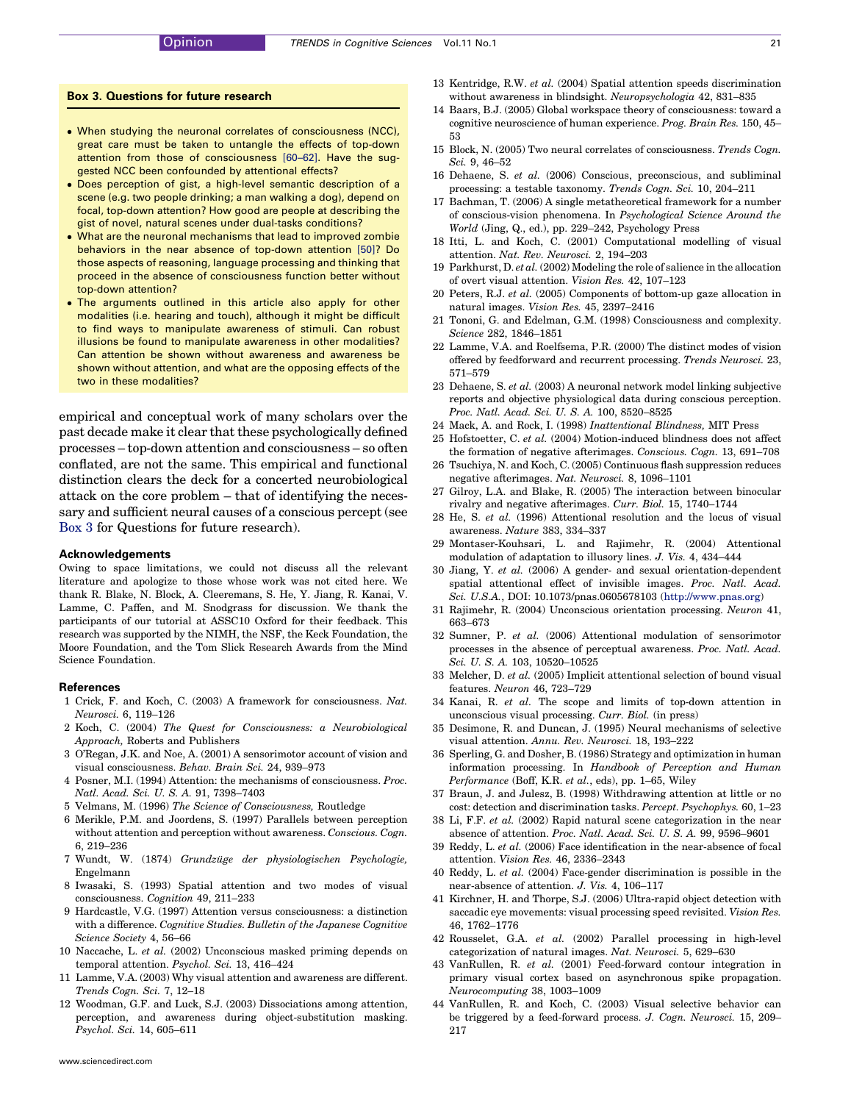#### <span id="page-5-0"></span>Box 3. Questions for future research

- . When studying the neuronal correlates of consciousness (NCC), great care must be taken to untangle the effects of top-down attention from those of consciousness [\[60–62\].](#page-6-0) Have the suggested NCC been confounded by attentional effects?
- . Does perception of gist, a high-level semantic description of a scene (e.g. two people drinking; a man walking a dog), depend on focal, top-down attention? How good are people at describing the gist of novel, natural scenes under dual-tasks conditions?
- What are the neuronal mechanisms that lead to improved zombie behaviors in the near absence of top-down attention [\[50\]](#page-6-0)? Do those aspects of reasoning, language processing and thinking that proceed in the absence of consciousness function better without top-down attention?
- . The arguments outlined in this article also apply for other modalities (i.e. hearing and touch), although it might be difficult to find ways to manipulate awareness of stimuli. Can robust illusions be found to manipulate awareness in other modalities? Can attention be shown without awareness and awareness be shown without attention, and what are the opposing effects of the two in these modalities?

empirical and conceptual work of many scholars over the past decade make it clear that these psychologically defined processes – top-down attention and consciousness – so often conflated, are not the same. This empirical and functional distinction clears the deck for a concerted neurobiological attack on the core problem – that of identifying the necessary and sufficient neural causes of a conscious percept (see Box 3 for Questions for future research).

#### Acknowledgements

Owing to space limitations, we could not discuss all the relevant literature and apologize to those whose work was not cited here. We thank R. Blake, N. Block, A. Cleeremans, S. He, Y. Jiang, R. Kanai, V. Lamme, C. Paffen, and M. Snodgrass for discussion. We thank the participants of our tutorial at ASSC10 Oxford for their feedback. This research was supported by the NIMH, the NSF, the Keck Foundation, the Moore Foundation, and the Tom Slick Research Awards from the Mind Science Foundation.

#### References

- 1 Crick, F. and Koch, C. (2003) A framework for consciousness. Nat. Neurosci. 6, 119–126
- 2 Koch, C. (2004) The Quest for Consciousness: a Neurobiological Approach, Roberts and Publishers
- 3 O'Regan, J.K. and Noe, A. (2001) A sensorimotor account of vision and visual consciousness. Behav. Brain Sci. 24, 939–973
- 4 Posner, M.I. (1994) Attention: the mechanisms of consciousness. Proc. Natl. Acad. Sci. U. S. A. 91, 7398–7403
- 5 Velmans, M. (1996) The Science of Consciousness, Routledge
- 6 Merikle, P.M. and Joordens, S. (1997) Parallels between perception without attention and perception without awareness. Conscious. Cogn. 6, 219–236
- 7 Wundt, W. (1874) Grundzüge der physiologischen Psychologie, Engelmann
- 8 Iwasaki, S. (1993) Spatial attention and two modes of visual consciousness. Cognition 49, 211–233
- 9 Hardcastle, V.G. (1997) Attention versus consciousness: a distinction with a difference. Cognitive Studies. Bulletin of the Japanese Cognitive Science Society 4, 56–66
- 10 Naccache, L. et al. (2002) Unconscious masked priming depends on temporal attention. Psychol. Sci. 13, 416–424
- 11 Lamme, V.A. (2003) Why visual attention and awareness are different. Trends Cogn. Sci. 7, 12–18
- 12 Woodman, G.F. and Luck, S.J. (2003) Dissociations among attention, perception, and awareness during object-substitution masking. Psychol. Sci. 14, 605–611
- 13 Kentridge, R.W. et al. (2004) Spatial attention speeds discrimination without awareness in blindsight. Neuropsychologia 42, 831–835
- 14 Baars, B.J. (2005) Global workspace theory of consciousness: toward a cognitive neuroscience of human experience. Prog. Brain Res. 150, 45– 53
- 15 Block, N. (2005) Two neural correlates of consciousness. Trends Cogn. Sci. 9, 46–52
- 16 Dehaene, S. et al. (2006) Conscious, preconscious, and subliminal processing: a testable taxonomy. Trends Cogn. Sci. 10, 204–211
- 17 Bachman, T. (2006) A single metatheoretical framework for a number of conscious-vision phenomena. In Psychological Science Around the World (Jing, Q., ed.), pp. 229–242, Psychology Press
- 18 Itti, L. and Koch, C. (2001) Computational modelling of visual attention. Nat. Rev. Neurosci. 2, 194–203
- 19 Parkhurst, D. et al. (2002) Modeling the role of salience in the allocation of overt visual attention. Vision Res. 42, 107–123
- 20 Peters, R.J. et al. (2005) Components of bottom-up gaze allocation in natural images. Vision Res. 45, 2397–2416
- 21 Tononi, G. and Edelman, G.M. (1998) Consciousness and complexity. Science 282, 1846–1851
- 22 Lamme, V.A. and Roelfsema, P.R. (2000) The distinct modes of vision offered by feedforward and recurrent processing. Trends Neurosci. 23, 571–579
- 23 Dehaene, S. et al. (2003) A neuronal network model linking subjective reports and objective physiological data during conscious perception. Proc. Natl. Acad. Sci. U. S. A. 100, 8520–8525
- 24 Mack, A. and Rock, I. (1998) Inattentional Blindness, MIT Press
- 25 Hofstoetter, C. et al. (2004) Motion-induced blindness does not affect the formation of negative afterimages. Conscious. Cogn. 13, 691–708
- 26 Tsuchiya, N. and Koch, C. (2005) Continuous flash suppression reduces negative afterimages. Nat. Neurosci. 8, 1096–1101
- 27 Gilroy, L.A. and Blake, R. (2005) The interaction between binocular rivalry and negative afterimages. Curr. Biol. 15, 1740–1744
- 28 He, S. et al. (1996) Attentional resolution and the locus of visual awareness. Nature 383, 334–337
- 29 Montaser-Kouhsari, L. and Rajimehr, R. (2004) Attentional modulation of adaptation to illusory lines. J. Vis. 4, 434–444
- 30 Jiang, Y. et al. (2006) A gender- and sexual orientation-dependent spatial attentional effect of invisible images. Proc. Natl. Acad. Sci. U.S.A., DOI: 10.1073/pnas.0605678103 [\(http://www.pnas.org](http://www.pnas.org/))
- 31 Rajimehr, R. (2004) Unconscious orientation processing. Neuron 41, 663–673
- 32 Sumner, P. et al. (2006) Attentional modulation of sensorimotor processes in the absence of perceptual awareness. Proc. Natl. Acad. Sci. U. S. A. 103, 10520–10525
- 33 Melcher, D. et al. (2005) Implicit attentional selection of bound visual features. Neuron 46, 723–729
- 34 Kanai, R. et al. The scope and limits of top-down attention in unconscious visual processing. Curr. Biol. (in press)
- 35 Desimone, R. and Duncan, J. (1995) Neural mechanisms of selective visual attention. Annu. Rev. Neurosci. 18, 193–222
- 36 Sperling, G. and Dosher, B. (1986) Strategy and optimization in human information processing. In Handbook of Perception and Human Performance (Boff, K.R. et al., eds), pp. 1–65, Wiley
- 37 Braun, J. and Julesz, B. (1998) Withdrawing attention at little or no cost: detection and discrimination tasks. Percept. Psychophys. 60, 1–23
- 38 Li, F.F. et al. (2002) Rapid natural scene categorization in the near absence of attention. Proc. Natl. Acad. Sci. U. S. A. 99, 9596–9601
- 39 Reddy, L. et al. (2006) Face identification in the near-absence of focal attention. Vision Res. 46, 2336–2343
- 40 Reddy, L. et al. (2004) Face-gender discrimination is possible in the near-absence of attention. J. Vis. 4, 106–117
- 41 Kirchner, H. and Thorpe, S.J. (2006) Ultra-rapid object detection with saccadic eye movements: visual processing speed revisited. Vision Res. 46, 1762–1776
- 42 Rousselet, G.A. et al. (2002) Parallel processing in high-level categorization of natural images. Nat. Neurosci. 5, 629–630
- 43 VanRullen, R. et al. (2001) Feed-forward contour integration in primary visual cortex based on asynchronous spike propagation. Neurocomputing 38, 1003–1009
- 44 VanRullen, R. and Koch, C. (2003) Visual selective behavior can be triggered by a feed-forward process. J. Cogn. Neurosci. 15, 209– 217